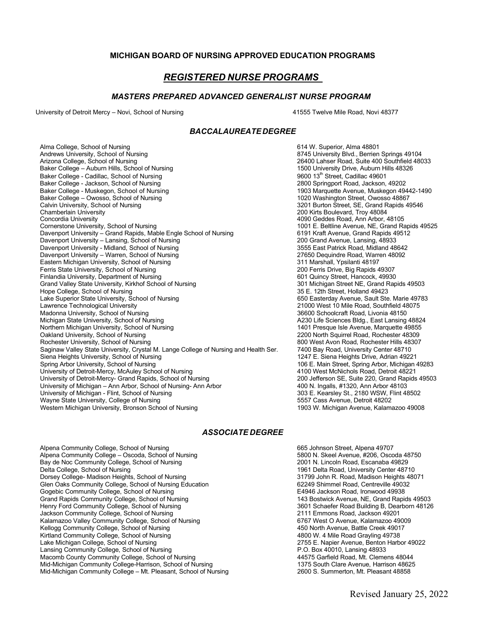## **MICHIGAN BOARD OF NURSING APPROVED EDUCATION PROGRAMS**

# *REGISTERED NURSE PROGRAMS*

#### *MASTERS PREPARED ADVANCED GENERALIST NURSE PROGRAM*

University of Detroit Mercy – Novi, School of Nursing 41555 Twelve Mile Road, Novi 48377

### *BACCALAUREATEDEGREE*

Alma College, School of Nursing and Society and Society and Society and Society Alma 48801 Andrews University, School of Nursing and Society and Society and Andrews University, School of Nursing and Society and Society and Andrews University, School of Nursing 8745 University Blvd., Berrien Springs 49104<br>Arizona College, School of Nursing Alternation School School (Surface 26400 Lahser Road, Suite 400 Southfield Baker College – Auburn Hills, School of Nursing 1500 University Drive, Auburn Hills 49601<br>1500 Baker College - Cadillac School of Nursing 1500 University Drive, Auburn Hills 49601 Baker College - Cadillac, School of Nursing Philoden States (States 1960) 13th Street, Cadillac 49601<br>1960 - Baker College - Jackson, School of Nursing Philoden States (States 1980) 1980 - 2800 Springport Road, Jackson, 49 Baker College - Jackson, School of Nursing<br>Baker College - Muskegon, School of Nursing Baker College – Owosso, School of Nursing<br>Calvin University, School of Nursing Calvin University, School of Nursing Calvin University, School of Nursing 3201 Burton Street, SE, Grand Rapids 49546<br>200 Kirts Boulevard. Trov 48084 Chamberlain University **200 Kirts Boulevard, Troy 48084**<br>Concordia University **200 Kirts Boulevard, Troy 48084**<br>200 Geddes Road, Ann Arbor, 4 Concordia University 4090 Geddes Road, Ann Arbor, 48105 Davenport University – Grand Rapids, Mable Engle School of Nursing 6191 Kraft Avenue, Grand Rapids 41<br>Davenport University – Lansing, School of Nursing 6191 Kraft Avenue, Lansing, 48933 Davenport University – Lansing, School of Nursing 200 Grand Avenue, Lansing, 48933 Davenport University - Midland, School of Nursing 3555 East Patrick Road, Midland 48642 Davenport University – Warren, School of Nursing 27650 Dequindre Road, Warren 48092 Eastern Michigan University, School of Nursing 311 Marshall, Ypsilanti 48197<br>1930 Ferris State University, School of Nursing 31 Marshall, Ypsilanti 48197 Ferris State University, School of Nursing 200 Ferris Drive, Big Rapids 49307 Finlandia University, Department of Nursing and Surface of Nursing for the Control of Nursing 601 Quincy Street, Hancock, 49930<br>Grand Valley State University, Kirkhof School of Nursing for the Control of Nursing 301 Michig Grand Valley State University, Kirkhof School of Nursing 301 Michigan Street NE, Grand Repression of Nursing 1<br>1999 College, School of Nursing 301 Michigan Street, Holland 49423 Hope College, School of Nursing<br>Lake Superior State University, School of Nursing Theory of Nursing 19783<br>Lake Superior State University, School of Nursing 19783 Lake Superior State University, School of Nursing<br>Lawrence Technological University Madonna University, School of Nursing<br>Michigan State University, School of Nursing Northern Michigan University, School of Nursing<br>Oakland University, School of Nursing Rochester University, School of Nursing<br>Saginaw Valley State University, Crystal M. Lange College of Nursing and Health Ser. 7400 Bay Road, University Center 48710 Saginaw Valley State University, Crystal M. Lange College of Nursing and Health Ser. 7400 Bay Road, University Center 48710 Siena Heights University, School of Nursing<br>Spring Arbor University, School of Nursing University of Detroit-Mercy, McAuley School of Nursing and Muslem and the Muslem 4100 West McNichols Road, Detroit 48221<br>4100 Wersity of Detroit-Mercy- Grand Rapids, School of Nursing and Muslem 4000 Uefferson SE, Suite 22 University of Detroit-Mercy- Grand Rapids, School of Nursing 200 Jefferson SE, Suite 220, Grand Rapids 49503 University of Michigan – Ann Arbor, School of Nursing- Ann Arbor 400 N. Ingalls, #1320, Ann Arbor 48103 University of Michigan - Flint, School of Nursing 303 C. Kearsley St., 2180 WSW, F<br>Wavne State University. College of Nursing 300 States 300 States 3557 Cass Avenue. Detroit 48202 Wayne State University, College of Nursing The Nursing State of the State of State of State of Nursing State o<br>State Michigan University, Bronson School of Nursing The State State of State of State of Michigan Avenue, Kala Western Michigan University, Bronson School of Nursing

26400 Lahser Road, Suite 400 Southfield 48033<br>1500 University Drive, Auburn Hills 48326 1903 Marquette Avenue, Muskegon 49442-1490<br>1020 Washington Street, Owosso 48867 1001 E. Beltline Avenue, NE, Grand Rapids 49525<br>6191 Kraft Avenue, Grand Rapids 49512 21000 West 10 Mile Road, Southfield 48075<br>36600 Schoolcraft Road, Livonia 48150 A230 Life Sciences Bldg., East Lansing 48824<br>1401 Presque Isle Avenue, Marquette 49855 2200 North Squirrel Road, Rochester 48309<br>800 West Avon Road, Rochester Hills 48307 106 E. Main Street, Spring Arbor, Michigan 49283<br>4100 West McNichols Road, Detroit 48221

#### *ASSOCIATE DEGREE*

Alpena Community College, School of Nursing and South College and College and Community College – Oscoda, School of Nursing and College and Street, Alpena 49707<br>Alpena Community College – Oscoda, School of Nursing and Sout Alpena Community College – Oscoda, School of Nursing 6800 Community College – Oscoda 48<br>Bay de Noc Community College, School of Nursing 68750 Community College, School of Nursing 6800 Community College, School of Nursing Bay de Noc Community College, School of Nursing<br>Delta College, School of Nursing Dorsey College- Madison Heights, School of Nursing 31799 John R. Road, Madison Heights 4<br>19032 Glen Oaks Community College. School of Nursing Education 62071 1807 1808249 Shimmel Road. Centreville Glen Óaks Community College, School of Nursing Education and the state of the Game of the Game of State of Nur<br>Gogebic Community College, School of Nursing and the state of the Game of the E4946 Jackson Road, Ironwood 4993 Gogebic Community College, School of Nursing **Exercice Conference College, College, 1986** Grand Rapids 49503<br>Grand Rapids Community College, School of Nursing **Exercice College Conference College College** 143 Bostwick Aven Grand Rapids Community College, School of Nursing 1992 and 143 Bostwick Avenue, NE, Grand Rapids 49503<br>143 Bostwick Avenue, Ne, Grand Rapids 49503<br>1601 Schaefer Road Building B, Dearborn 48126 Henry Ford Community College, School of Nursing 3601 Schaefer Road Building B, Dear<br>Jackson Community College. School of Nursing 3601 School 2011 Emmons Road. Jackson 49201 Jackson Community College, School of Nursing Kalamazoo Valley Community College, School of Nursing 6767 West O Avenue, Kalamazoo 49009 Kellogg Community College, School of Nursing 6767 West O Avenue, Battle Creek 49017 Kellogg Community College, School of Nursing Albert 2001 12:00 North Avenue, Battle Creek 4901<br>Airtland Community College, School of Nursing Albert 2002 12:00 North Avenue, Battle Avenue, Battle Creek 4901 Kirtland Community College, School of Nursing and All the Microsoft Community College, School of Nursing 49738<br>All the Michigan College, School of Nursing and All the Microsoft Community of the Microsoft Community College Lake Michigan College, School of Nursing 2765 E. Napier Avenue, Benton للمستخدم 2755 E. Napier Avenue, Benton<br>Lansing Community College, School of Nursing Lansing Community College, School of Nursing Process and Community College, School of Nursing P.O. Box 40010, Lansing 48933<br>Macomb County Community College, School of Nursing Process and Process and A4575 Garfield Road. Mt Macomb County Community College, School of Nursing Mid-Michigan Community College-Harrison, School of Nursing 1375 South Clare Avenue, Harrison 48625<br>1375 South Clare Avenue, Harrison 48625 Michael School of Nursing 1375 South Clare Avenue, Harrison 48858 Mid-Mid-Michigan Community College – Mt. Pleasant, School of Nursing

1961 Delta Road, University Center 48710<br>31799 John R. Road, Madison Heights 48071